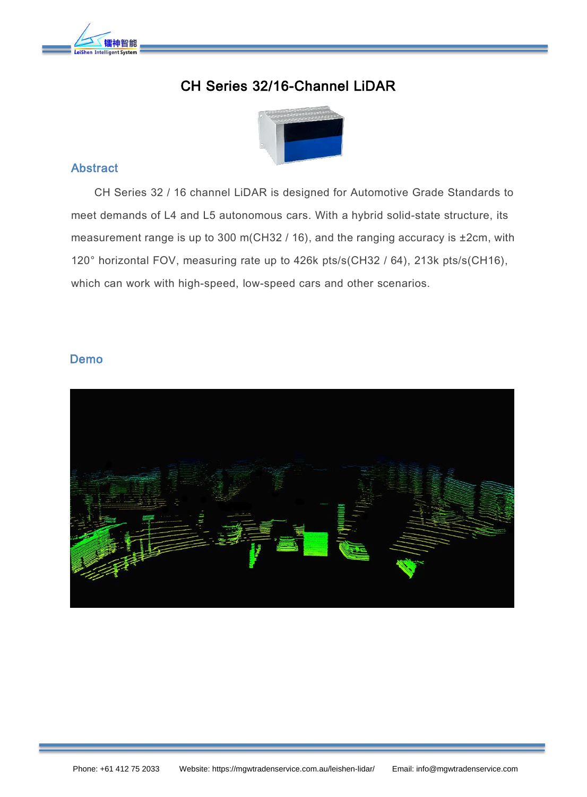

# CH Series 32/16-Channel LiDAR



#### Abstract

CH Series 32 / 16 channel LiDAR is designed for Automotive Grade Standards to meet demands of L4 and L5 autonomous cars. With a hybrid solid-state structure, its measurement range is up to 300 m(CH32  $/$  16), and the ranging accuracy is  $\pm$ 2cm, with 120° horizontal FOV, measuring rate up to 426k pts/s(CH32 / 64), 213k pts/s(CH16), which can work with high-speed, low-speed cars and other scenarios.

#### Demo

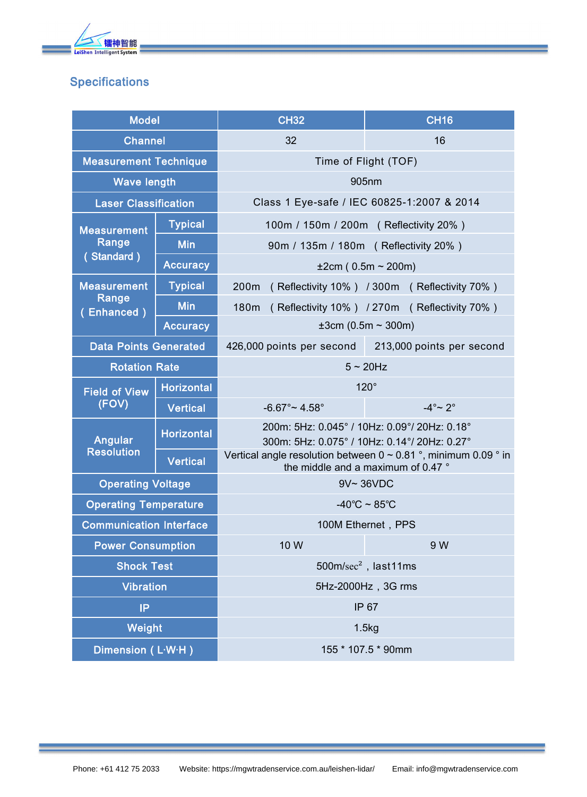

## **Specifications**

| <b>Model</b>                              |                   | <b>CH32</b>                                                                                                | <b>CH16</b>               |
|-------------------------------------------|-------------------|------------------------------------------------------------------------------------------------------------|---------------------------|
| <b>Channel</b>                            |                   | 32                                                                                                         | 16                        |
| <b>Measurement Technique</b>              |                   | Time of Flight (TOF)                                                                                       |                           |
| <b>Wave length</b>                        |                   | 905nm                                                                                                      |                           |
| <b>Laser Classification</b>               |                   | Class 1 Eye-safe / IEC 60825-1:2007 & 2014                                                                 |                           |
| <b>Measurement</b><br>Range<br>(Standard) | <b>Typical</b>    | 100m / 150m / 200m ( Reflectivity 20% )                                                                    |                           |
|                                           | <b>Min</b>        | 90m / 135m / 180m (Reflectivity 20%)                                                                       |                           |
|                                           | <b>Accuracy</b>   | $\pm 2$ cm (0.5m ~ 200m)                                                                                   |                           |
| <b>Measurement</b><br>Range<br>(Enhanced) | <b>Typical</b>    | 200m<br>(Reflectivity 10%) / 300m (Reflectivity 70%)                                                       |                           |
|                                           | <b>Min</b>        | (Reflectivity 10%) / 270m (Reflectivity 70%)<br>180m                                                       |                           |
|                                           | <b>Accuracy</b>   | $±3cm (0.5m \sim 300m)$                                                                                    |                           |
| <b>Data Points Generated</b>              |                   | 426,000 points per second                                                                                  | 213,000 points per second |
| <b>Rotation Rate</b>                      |                   | $5 \sim 20$ Hz                                                                                             |                           |
| <b>Field of View</b><br>(FOV)             | <b>Horizontal</b> | $120^\circ$                                                                                                |                           |
|                                           | <b>Vertical</b>   | $-6.67^{\circ}$ ~ 4.58°                                                                                    | $-4^\circ \sim 2^\circ$   |
| Angular<br><b>Resolution</b>              | <b>Horizontal</b> | 200m: 5Hz: 0.045° / 10Hz: 0.09°/ 20Hz: 0.18°<br>300m: 5Hz: 0.075° / 10Hz: 0.14°/ 20Hz: 0.27°               |                           |
|                                           | <b>Vertical</b>   | Vertical angle resolution between $0 \sim 0.81$ °, minimum 0.09 ° in<br>the middle and a maximum of 0.47 ° |                           |
| <b>Operating Voltage</b>                  |                   | 9V~36VDC                                                                                                   |                           |
| <b>Operating Temperature</b>              |                   | $-40^{\circ}$ C ~ 85 $^{\circ}$ C                                                                          |                           |
| <b>Communication Interface</b>            |                   | 100M Ethernet, PPS                                                                                         |                           |
| <b>Power Consumption</b>                  |                   | 10 W                                                                                                       | 9 W                       |
| <b>Shock Test</b>                         |                   |                                                                                                            | $500m/sec2$ , last11ms    |
| <b>Vibration</b>                          |                   | 5Hz-2000Hz, 3G rms                                                                                         |                           |
| IP                                        |                   | IP 67                                                                                                      |                           |
| Weight                                    |                   | 1.5kg                                                                                                      |                           |
| Dimension (L-W-H)                         |                   | 155 * 107.5 * 90mm                                                                                         |                           |